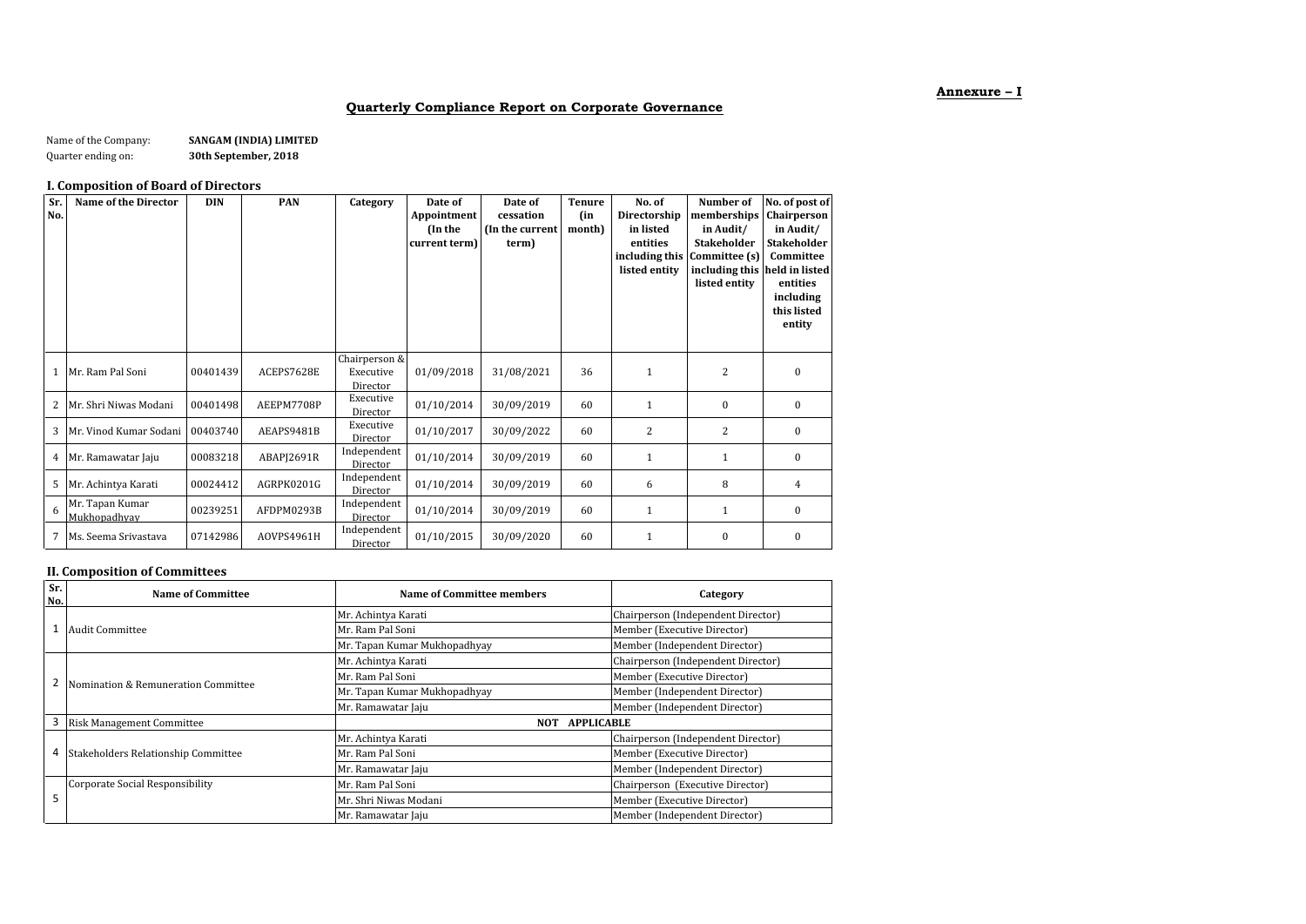## **Annexure – I**

## **Quarterly Compliance Report on Corporate Governance**

| Name of the Company: | SANGAM (INDIA) LIMITED |
|----------------------|------------------------|
| Quarter ending on:   | 30th September, 2018   |

# **I. Composition of Board of Directors**

| Sr.<br>No. | Name of the Director            | <b>DIN</b> | <b>PAN</b> | Category                               | Date of<br>Appointment<br>(In the<br>current term) | Date of<br>cessation<br>(In the current<br>term) | <b>Tenure</b><br>(in<br>month) | No. of<br>Directorship<br>in listed<br>entities<br>listed entity | Number of<br>memberships<br>in Audit/<br><b>Stakeholder</b><br>including this Committee (s)<br>including this held in listed<br>listed entity | No. of post of<br>Chairperson<br>in Audit/<br><b>Stakeholder</b><br>Committee<br>entities<br>including<br>this listed<br>entity |
|------------|---------------------------------|------------|------------|----------------------------------------|----------------------------------------------------|--------------------------------------------------|--------------------------------|------------------------------------------------------------------|-----------------------------------------------------------------------------------------------------------------------------------------------|---------------------------------------------------------------------------------------------------------------------------------|
| 1          | Mr. Ram Pal Soni                | 00401439   | ACEPS7628E | Chairperson &<br>Executive<br>Director | 01/09/2018                                         | 31/08/2021                                       | 36                             | 1                                                                | 2                                                                                                                                             | $\mathbf{0}$                                                                                                                    |
| 2          | Mr. Shri Niwas Modani           | 00401498   | AEEPM7708P | Executive<br>Director                  | 01/10/2014                                         | 30/09/2019                                       | 60                             | $\mathbf{1}$                                                     | $\mathbf{0}$                                                                                                                                  | $\mathbf{0}$                                                                                                                    |
| 3          | Mr. Vinod Kumar Sodani          | 00403740   | AEAPS9481B | Executive<br>Director                  | 01/10/2017                                         | 30/09/2022                                       | 60                             | 2                                                                | 2                                                                                                                                             | $\mathbf{0}$                                                                                                                    |
| 4          | Mr. Ramawatar Jaju              | 00083218   | ABAPJ2691R | Independent<br>Director                | 01/10/2014                                         | 30/09/2019                                       | 60                             | 1                                                                | $\mathbf{1}$                                                                                                                                  | $\Omega$                                                                                                                        |
| 5          | Mr. Achintya Karati             | 00024412   | AGRPK0201G | Independent<br>Director                | 01/10/2014                                         | 30/09/2019                                       | 60                             | 6                                                                | 8                                                                                                                                             | 4                                                                                                                               |
| 6          | Mr. Tapan Kumar<br>Mukhopadhyay | 00239251   | AFDPM0293B | Independent<br>Director                | 01/10/2014                                         | 30/09/2019                                       | 60                             | $\mathbf{1}$                                                     | $\mathbf{1}$                                                                                                                                  | $\mathbf{0}$                                                                                                                    |
| 7          | Ms. Seema Srivastava            | 07142986   | AOVPS4961H | Independent<br>Director                | 01/10/2015                                         | 30/09/2020                                       | 60                             | $\mathbf{1}$                                                     | $\bf{0}$                                                                                                                                      | $\bf{0}$                                                                                                                        |

## **II. Composition of Committees**

| Sr.<br>No. | Name of Committee                   | Name of Committee members       | Category                           |  |
|------------|-------------------------------------|---------------------------------|------------------------------------|--|
|            |                                     | Mr. Achintya Karati             | Chairperson (Independent Director) |  |
|            | <b>Audit Committee</b>              | Mr. Ram Pal Soni                | Member (Executive Director)        |  |
|            |                                     | Mr. Tapan Kumar Mukhopadhyay    | Member (Independent Director)      |  |
|            |                                     | Mr. Achintya Karati             | Chairperson (Independent Director) |  |
|            | Nomination & Remuneration Committee | Mr. Ram Pal Soni                | Member (Executive Director)        |  |
|            |                                     | Mr. Tapan Kumar Mukhopadhyay    | Member (Independent Director)      |  |
|            |                                     | Mr. Ramawatar Jaju              | Member (Independent Director)      |  |
|            | <b>Risk Management Committee</b>    | <b>NOT</b><br><b>APPLICABLE</b> |                                    |  |
|            |                                     | Mr. Achintya Karati             | Chairperson (Independent Director) |  |
| 4          | Stakeholders Relationship Committee | Mr. Ram Pal Soni                | Member (Executive Director)        |  |
|            |                                     | Mr. Ramawatar Jaju              | Member (Independent Director)      |  |
|            | Corporate Social Responsibility     | Mr. Ram Pal Soni                | Chairperson (Executive Director)   |  |
| 5          |                                     | Mr. Shri Niwas Modani           | Member (Executive Director)        |  |
|            |                                     | Mr. Ramawatar Jaju              | Member (Independent Director)      |  |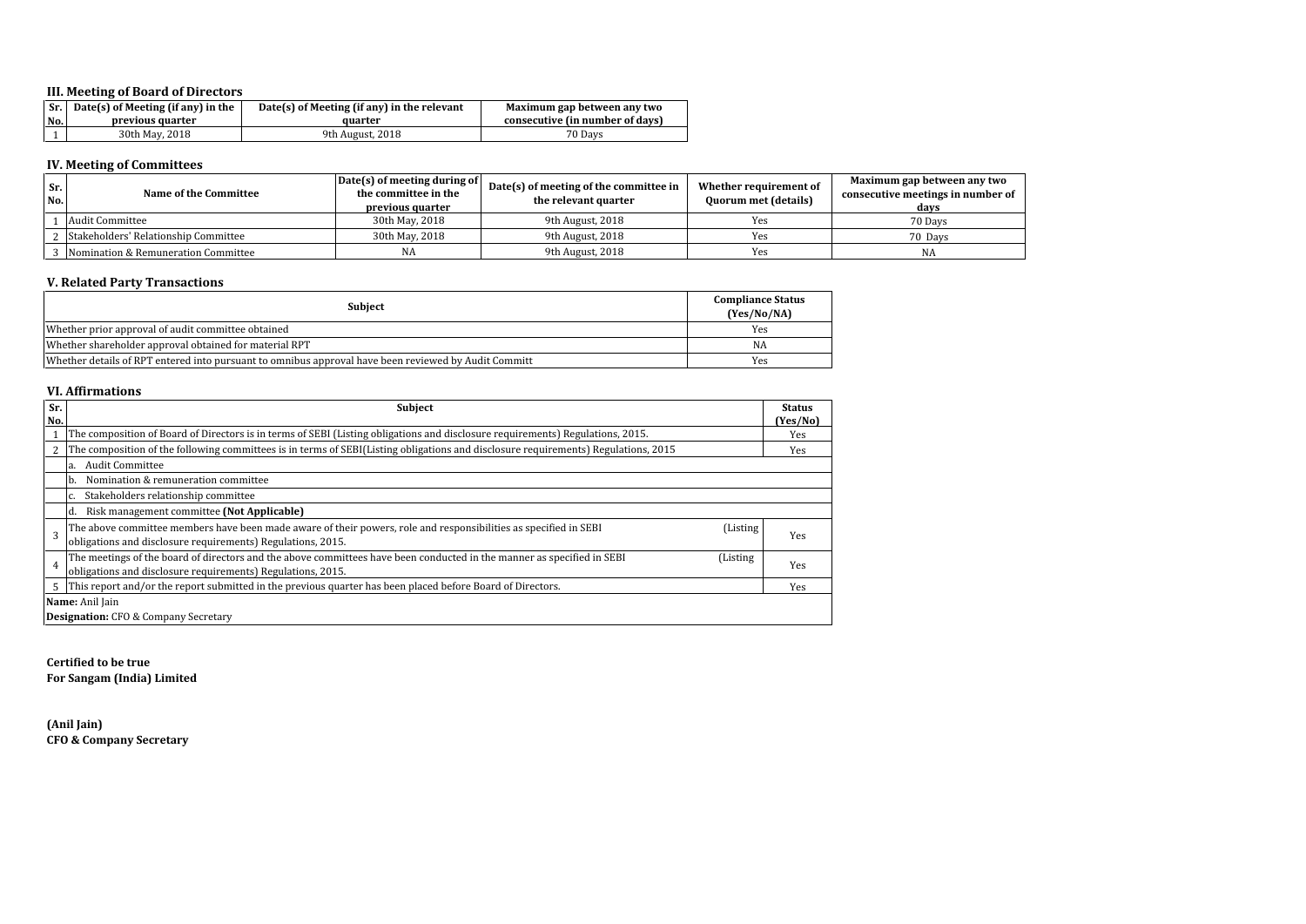## **III. Meeting of Board of Directors**

|     | $\vert$ Sr. $\vert$ Date(s) of Meeting (if any) in the | $Date(s)$ of Meeting (if any) in the relevant | Maximum gap between any two     |
|-----|--------------------------------------------------------|-----------------------------------------------|---------------------------------|
| No. | previous quarter                                       | auarter                                       | consecutive (in number of days) |
|     | 30th May, 2018                                         | 9th August, 2018                              | 70 Davs                         |

# **IV. Meeting of Committees**

| Sr.<br>No. | Name of the Committee                | Date(s) of meeting during of<br>the committee in the<br>previous quarter | Date(s) of meeting of the committee in<br>the relevant quarter | Whether requirement of<br>Quorum met (details) | Maximum gap between any two<br>consecutive meetings in number of<br>davs |
|------------|--------------------------------------|--------------------------------------------------------------------------|----------------------------------------------------------------|------------------------------------------------|--------------------------------------------------------------------------|
|            | <b>Audit Committee</b>               | 30th May, 2018                                                           | 9th August, 2018                                               | Yes                                            | 70 Days                                                                  |
|            | Stakeholders' Relationship Committee | 30th May, 2018                                                           | 9th August, 2018                                               | Yes                                            | 70 Davs                                                                  |
|            | Nomination & Remuneration Committee  | NA                                                                       | 9th August, 2018                                               | Yes                                            | NA                                                                       |

#### **V. Related Party Transactions**

| <b>Subject</b>                                                                                       | <b>Compliance Status</b><br>(Yes/No/NA) |
|------------------------------------------------------------------------------------------------------|-----------------------------------------|
| Whether prior approval of audit committee obtained                                                   | Yes                                     |
| Whether shareholder approval obtained for material RPT                                               | NA                                      |
| Whether details of RPT entered into pursuant to omnibus approval have been reviewed by Audit Committ | Yes                                     |

#### **VI. Affirmations**

| Sr.<br>No. | <b>Subject</b>                                                                                                                                                                                     | <b>Status</b><br>(Yes/No) |  |  |
|------------|----------------------------------------------------------------------------------------------------------------------------------------------------------------------------------------------------|---------------------------|--|--|
|            | The composition of Board of Directors is in terms of SEBI (Listing obligations and disclosure requirements) Regulations, 2015.                                                                     |                           |  |  |
|            | The composition of the following committees is in terms of SEBI(Listing obligations and disclosure requirements) Regulations, 2015                                                                 | Yes                       |  |  |
|            | <b>Audit Committee</b><br>a.                                                                                                                                                                       |                           |  |  |
|            | Nomination & remuneration committee<br>h.                                                                                                                                                          |                           |  |  |
|            | Stakeholders relationship committee                                                                                                                                                                |                           |  |  |
|            | Risk management committee (Not Applicable)<br>Id.                                                                                                                                                  |                           |  |  |
|            | The above committee members have been made aware of their powers, role and responsibilities as specified in SEBI<br>(Listing)<br>obligations and disclosure requirements) Regulations, 2015.       | Yes                       |  |  |
| 4          | The meetings of the board of directors and the above committees have been conducted in the manner as specified in SEBI<br>(Listing)<br>obligations and disclosure requirements) Regulations, 2015. | Yes                       |  |  |
|            | This report and/or the report submitted in the previous quarter has been placed before Board of Directors.                                                                                         | Yes                       |  |  |
|            | Name: Anil Jain                                                                                                                                                                                    |                           |  |  |
|            | <b>Designation:</b> CFO & Company Secretary                                                                                                                                                        |                           |  |  |

**Certified to be true For Sangam (India) Limited**

**(Anil Jain) CFO & Company Secretary**